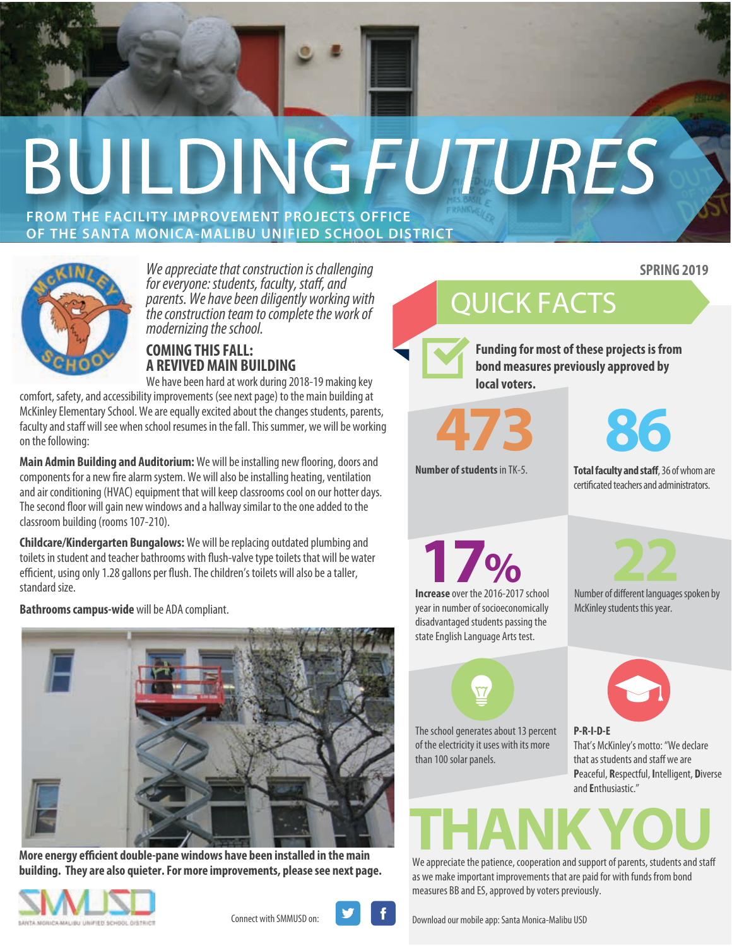# **BUILDINGFUTURES**

#### **FROM THE FACILITY IMPROVEMENT PROJECTS OFFICE OF THE SANTA MONICA-MALIBU UNIFIED SCHOOL DISTRICT**



*We appreciate that construction is challenging for everyone: students, faculty, staff, and parents. We have been diligently working with the construction team to complete the work of modernizing the school.*

#### **COMING THIS FALL: A REVIVED MAIN BUILDING**

We have been hard at work during 2018-19 making key comfort, safety, and accessibility improvements (see next page) to the main building at McKinley Elementary School. We are equally excited about the changes students, parents, faculty and staff will see when school resumes in the fall. This summer, we will be working on the following:

Main Admin Building and Auditorium: We will be installing new flooring, doors and components for a new fire alarm system. We will also be installing heating, ventilation and air conditioning (HVAC) equipment that will keep classrooms cool on our hotter days. The second floor will gain new windows and a hallway similar to the one added to the classroom building (rooms 107-210).

**Childcare/Kindergarten Bungalows:** We will be replacing outdated plumbing and toilets in student and teacher bathrooms with flush-valve type toilets that will be water efficient, using only 1.28 gallons per flush. The children's toilets will also be a taller, standard size.

**Bathrooms campus-wide** will be ADA compliant.



**More energy efficient double-pane windows have been installed in the main building. They are also quieter. For more improvements, please see next page.** 





Connect with SMMUSD on: **Download our mobile app: Santa Monica-Malibu USD** 

QUICK FACTS

**Funding for most of these projects is from bond measures previously approved by local voters.**



**Number of students** in TK-5.



**SPRING 2019**

**Total faculty and staff**, 36 of whom are certificated teachers and administrators.

**Increase** over the 2016-2017 school year in number of socioeconomically disadvantaged students passing the **17%**

state English Language Arts test.



McKinley students this year.

The school generates about 13 percent of the electricity it uses with its more than 100 solar panels.



**P-R-I-D-E** That's McKinley's motto: "We declare that as students and staff we are **P**eaceful, **R**espectful, **I**ntelligent, **D**iverse and **E**nthusiastic."

# **THANK YOU**<br>We appreciate the patience, cooperation and support of parents, students and staff

as we make important improvements that are paid for with funds from bond measures BB and ES, approved by voters previously.